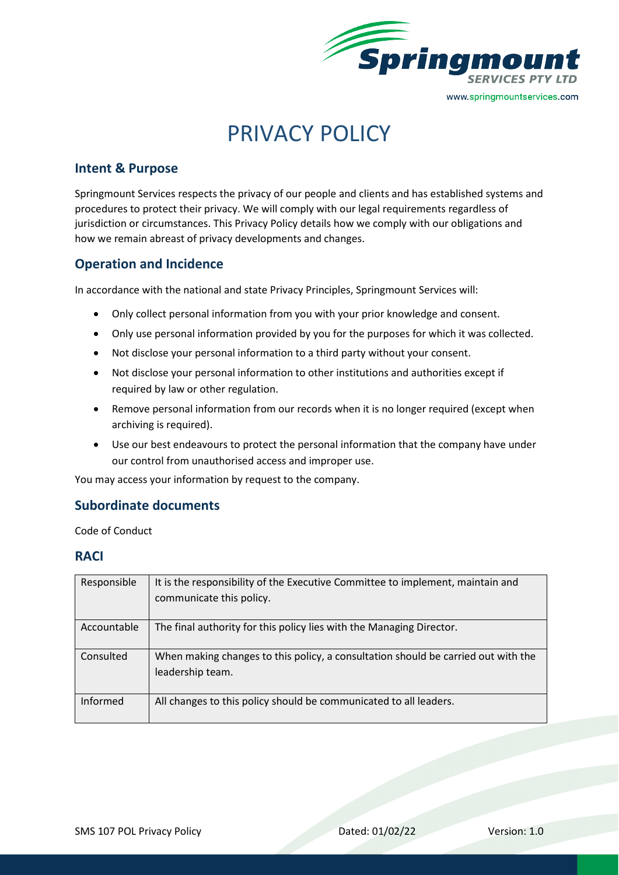

# PRIVACY POLICY

# **Intent & Purpose**

Springmount Services respects the privacy of our people and clients and has established systems and procedures to protect their privacy. We will comply with our legal requirements regardless of jurisdiction or circumstances. This Privacy Policy details how we comply with our obligations and how we remain abreast of privacy developments and changes.

## **Operation and Incidence**

In accordance with the national and state Privacy Principles, Springmount Services will:

- Only collect personal information from you with your prior knowledge and consent.
- Only use personal information provided by you for the purposes for which it was collected.
- Not disclose your personal information to a third party without your consent.
- Not disclose your personal information to other institutions and authorities except if required by law or other regulation.
- Remove personal information from our records when it is no longer required (except when archiving is required).
- Use our best endeavours to protect the personal information that the company have under our control from unauthorised access and improper use.

You may access your information by request to the company.

## **Subordinate documents**

Code of Conduct

### **RACI**

| Responsible | It is the responsibility of the Executive Committee to implement, maintain and<br>communicate this policy. |
|-------------|------------------------------------------------------------------------------------------------------------|
| Accountable | The final authority for this policy lies with the Managing Director.                                       |
| Consulted   | When making changes to this policy, a consultation should be carried out with the<br>leadership team.      |
| Informed    | All changes to this policy should be communicated to all leaders.                                          |